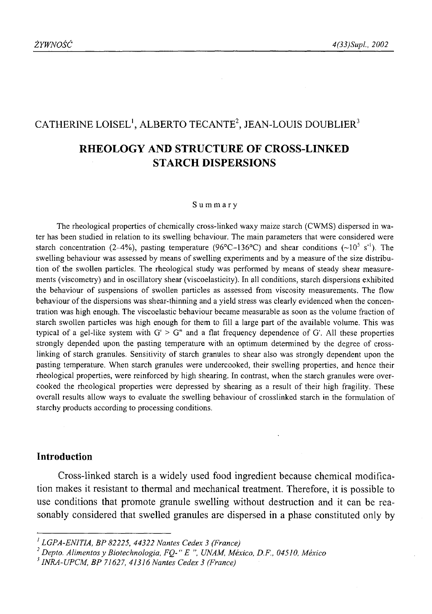# CATHERINE LOISEL<sup>1</sup>, ALBERTO TECANTE<sup>2</sup>, JEAN-LOUIS DOUBLIER<sup>3</sup>

## **RHEOLOGY AND STRUCTURE OF CROSS-LINKED STARCH DISPERSIONS**

#### **Summary**

The rheological properties of chemically cross-linked waxy maize starch (CWMS) dispersed in water has been studied in relation to its swelling behaviour. The main parameters that were considered were starch concentration (2-4%), pasting temperature (96°C-136°C) and shear conditions ( $\sim 10^5$  s<sup>-1</sup>). The swelling behaviour was assessed by means of swelling experiments and by a measure of the size distribution of the swollen particles. The rheological study was performed by means of steady shear measurements (viscometry) and in oscillatory shear (viscoelasticity). In all conditions, starch dispersions exhibited the behaviour of suspensions of swollen particles as assessed from viscosity measurements. The flow behaviour of the dispersions was shear-thinning and a yield stress was clearly evidenced when the concentration was high enough. The viscoelastic behaviour became measurable as soon as the volume fraction of starch swollen particles was high enough for them to fill a large part of the available volume. This was typical of a gel-like system with  $G' \geq G''$  and a flat frequency dependence of G'. All these properties strongly depended upon the pasting temperature with an optimum determined by the degree of crosslinking of starch granules. Sensitivity of starch granules to shear also was strongly dependent upon the pasting temperature. When starch granules were undercooked, their swelling properties, and hence their rheological properties, were reinforced by high shearing. In contrast, when the starch granules were overcooked the rheological properties were depressed by shearing as a result of their high fragility. These overall results allow ways to evaluate the swelling behaviour of crosslinked starch in the formulation of starchy products according to processing conditions.

## **Introduction**

Cross-linked starch is a widely used food ingredient because chemical modification makes it resistant to thermal and mechanical treatment. Therefore, it is possible to use conditions that promote granule swelling without destruction and it can be reasonably considered that swelled granules are dispersed in a phase constituted only by

*<sup>1</sup> LGPA-ENITIA, BP 82225, 44322 Nantes Cedex 3 (France)*

<sup>&</sup>lt;sup>2</sup> Depto. Alimentos y Biotechnologia, FQ-" E ", UNAM, México, D.F., 04510, México

*<sup>3</sup>INRA-UPCM, BP 71627, 41316 Nantes Cedex 3 (France)*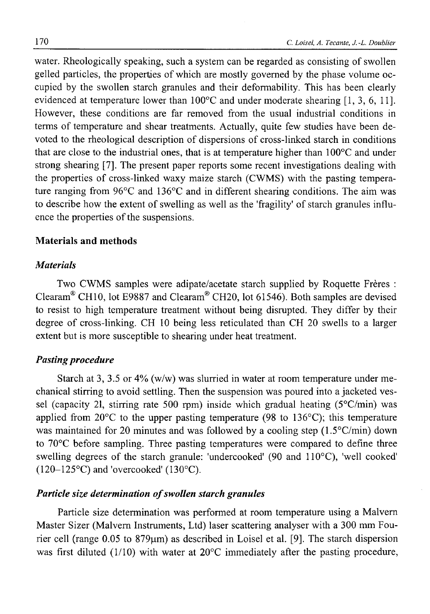water. Rheologically speaking, such a system can be regarded as consisting of swollen gelled particles, the properties of which are mostly governed by the phase volume occupied by the swollen starch granules and their deformability. This has been clearly evidenced at temperature lower than 100°C and under moderate shearing [1, 3, 6, 11]. However, these conditions are far removed from the usual industrial conditions in terms of temperature and shear treatments. Actually, quite few studies have been devoted to the rheological description of dispersions of cross-linked starch in conditions that are close to the industrial ones, that is at temperature higher than 100°C and under strong shearing [7]. The present paper reports some recent investigations dealing with the properties of cross-linked waxy maize starch (CWMS) with the pasting temperature ranging from 96°C and 136°C and in different shearing conditions. The aim was to describe how the extent of swelling as well as the 'fragility' of starch granules influence the properties of the suspensions.

#### **Materials and methods**

#### *Materials*

Two CWMS samples were adipate/acetate starch supplied by Roquette Frères : Clearam® CH10, lot E9887 and Clearam® CH20, lot 61546). Both samples are devised to resist to high temperature treatment without being disrupted. They differ by their degree of cross-linking. CH 10 being less reticulated than CH 20 swells to a larger extent but is more susceptible to shearing under heat treatment.

## *Pasting procedure*

Starch at 3, 3.5 or 4% (w/w) was slurried in water at room temperature under mechanical stirring to avoid settling. Then the suspension was poured into a jacketed vessel (capacity 21, stirring rate 500 rpm) inside which gradual heating ( $5^{\circ}$ C/min) was applied from  $20^{\circ}$ C to the upper pasting temperature (98 to 136 $^{\circ}$ C); this temperature was maintained for 20 minutes and was followed by a cooling step (1.5°C/min) down to 70°C before sampling. Three pasting temperatures were compared to define three swelling degrees of the starch granule: 'undercooked' (90 and 110°C), 'well cooked'  $(120-125\textdegree C)$  and 'overcooked'  $(130\textdegree C)$ .

### *Particle size determination of swollen starch granules*

Particle size determination was performed at room temperature using a Malvern Master Sizer (Malvern Instruments, Ltd) laser scattering analyser with a 300 mm Fourier cell (range  $0.05$  to  $879\mu m$ ) as described in Loisel et al. [9]. The starch dispersion was first diluted (1/10) with water at 20°C immediately after the pasting procedure,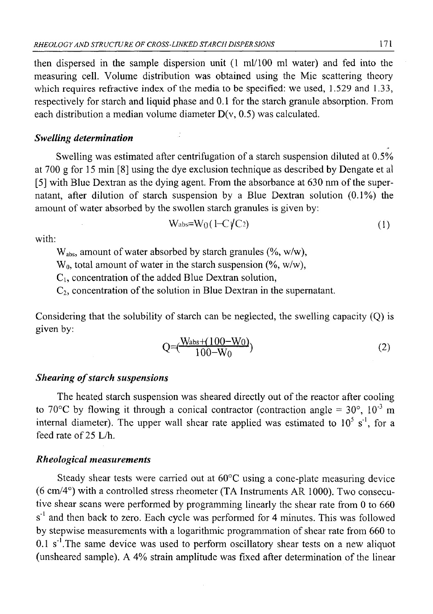then dispersed in the sample dispersion unit  $(1 \text{ ml}/100 \text{ ml}$  water) and fed into the measuring cell. Volume distribution was obtained using the Mie scattering theory which requires refractive index of the media to be specified: we used,  $1.529$  and  $1.33$ , respectively for starch and liquid phase and 0.1 for the starch granule absorption. From each distribution a median volume diameter  $D(v, 0.5)$  was calculated.

## *Swelling determination*

Swelling was estimated after centrifugation of a starch suspension diluted at 0.5% at 700 g for 15 min [8] using the dye exclusion technique as described by Dengate et al [5] with Blue Dextran as the dying agent. From the absorbance at 630 nm of the supernatant, after dilution of starch suspension by a Blue Dextran solution (0.1%) the amount of water absorbed by the swollen starch granules is given by:

$$
W_{\text{abs}} = W_0 \left( 1 - C \sqrt{C_2} \right) \tag{1}
$$

with:

 $W_{abs}$ , amount of water absorbed by starch granules (%, w/w),

 $W_0$ , total amount of water in the starch suspension (%, w/w),

 $C_i$ , concentration of the added Blue Dextran solution,

 $C_2$ , concentration of the solution in Blue Dextran in the supernatant.

Considering that the solubility of starch can be neglected, the swelling capacity (Q) is given by:

$$
Q = \left(\frac{W_{\text{abs}} + (100 - W_0)}{100 - W_0}\right) \tag{2}
$$

## *Shearing of starch suspensions*

The heated starch suspension was sheared directly out of the reactor after cooling to 70 °C by flowing it through a conical contractor (contraction angle =  $30^{\circ}$ ,  $10^{-3}$  m internal diameter). The upper wall shear rate applied was estimated to  $10^5$  s<sup>1</sup>, for a feed rate of 25 L/h.

### *Rheological measurements*

Steady shear tests were carried out at 60°C using a cone-plate measuring device (6 cm/4°) with a controlled stress rheometer (TA Instruments AR 1000). Two consecutive shear scans were performed by programming linearly the shear rate from 0 to 660 s<sup>-1</sup> and then back to zero. Each cycle was performed for 4 minutes. This was followed by stepwise measurements with a logarithmic programmation of shear rate from 660 to  $0.1$  s<sup>-1</sup>. The same device was used to perform oscillatory shear tests on a new aliquot (unsheared sample). A 4% strain amplitude was fixed after determination of the linear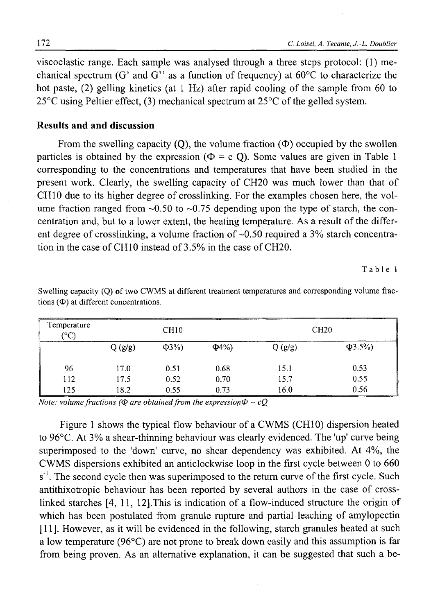viscoelastic range. Each sample was analysed through a three steps protocol: (1) mechanical spectrum (G' and G'' as a function of frequency) at  $60^{\circ}$ C to characterize the hot paste, (2) gelling kinetics (at 1 Hz) after rapid cooling of the sample from 60 to 25°C using Peltier effect, (3) mechanical spectrum at 25°C of the gelled system.

## **Results and and discussion**

From the swelling capacity (O), the volume fraction  $(\Phi)$  occupied by the swollen particles is obtained by the expression ( $\Phi = c$  O). Some values are given in Table 1 corresponding to the concentrations and temperatures that have been studied in the present work. Clearly, the swelling capacity of CH20 was much lower than that of CH10 due to its higher degree of crosslinking. For the examples chosen here, the volume fraction ranged from  $\sim 0.50$  to  $\sim 0.75$  depending upon the type of starch, the concentration and, but to a lower extent, the heating temperature. As a result of the different degree of crosslinking, a volume fraction of  $\sim 0.50$  required a 3% starch concentration in the case of CH10 instead of 3.5% in the case of CH20.

Table 1

| Temperature<br>(°C) | CH <sub>10</sub> |            |            | CH20   |              |
|---------------------|------------------|------------|------------|--------|--------------|
|                     | Q(g/g)           | $\Phi$ 3%) | $\Phi$ 4%) | Q(g/g) | $\Phi$ 3.5%) |
| 96                  | 17.0             | 0.51       | 0.68       | 15.1   | 0.53         |
| 112                 | 17.5             | 0.52       | 0.70       | 15.7   | 0.55         |
| 125                 | 18.2             | 0.55       | 0.73       | 16.0   | 0.56         |

Swelling capacity (Q) of two CWMS at different treatment temperatures and corresponding volume fractions  $(\Phi)$  at different concentrations.

*Note: volume fractions (* $\Phi$  *are obtained from the expression* $\Phi = cQ$ 

Figure 1 shows the typical flow behaviour of a CWMS (CH10) dispersion heated to 96°C. At 3% a shear-thinning behaviour was clearly evidenced. The 'up' curve being superimposed to the 'down' curve, no shear dependency was exhibited. At 4%, the CWMS dispersions exhibited an anticlockwise loop in the first cycle between 0 to 660  $s<sup>-1</sup>$ . The second cycle then was superimposed to the return curve of the first cycle. Such antithixotropic behaviour has been reported by several authors in the case of crosslinked starches [4, 11, 12].This is indication of a flow-induced structure the origin of which has been postulated from granule rupture and partial leaching of amylopectin [11]. However, as it will be evidenced in the following, starch granules heated at such a low temperature (96°C) are not prone to break down easily and this assumption is far from being proven. As an alternative explanation, it can be suggested that such a be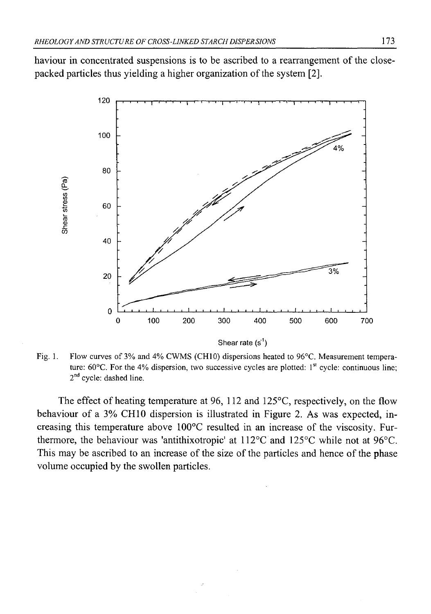haviour in concentrated suspensions is to be ascribed to a rearrangement of the closepacked particles thus yielding a higher organization of the system [2].



Fig. 1. Flow curves of 3% and 4% CWMS (CH10) dispersions heated to 96°C. Measurement temperature:  $60^{\circ}$ C. For the 4% dispersion, two successive cycles are plotted:  $1^{st}$  cycle: continuous line;  $2<sup>nd</sup>$  cycle: dashed line.

The effect of heating temperature at 96, 112 and 125°C, respectively, on the flow behaviour of a 3% CH10 dispersion is illustrated in Figure 2. As was expected, increasing this temperature above 100°C resulted in an increase of the viscosity. Furthermore, the behaviour was 'antithixotropic' at 112°C and 125°C while not at 96°C. This may be ascribed to an increase of the size of the particles and hence of the phase volume occupied by the swollen particles.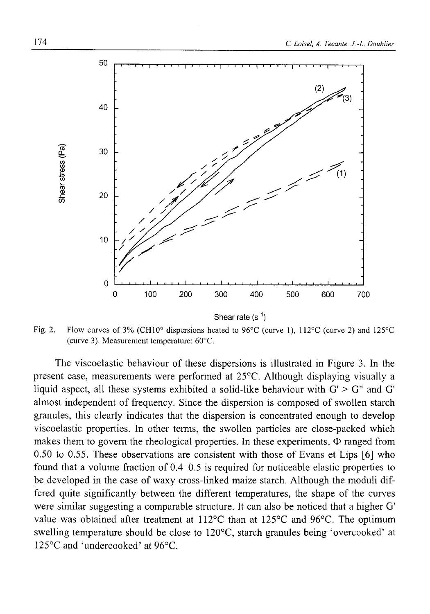

Fig. 2. Flow curves of 3% (CH10° dispersions heated to 96°C (curve 1), 112°C (curve 2) and 125°C (curve 3). Measurement temperature: 60°C.

The viscoelastic behaviour of these dispersions is illustrated in Figure 3. In the present case, measurements were performed at 25°C. Although displaying visually a liquid aspect, all these systems exhibited a solid-like behaviour with  $G' > G''$  and  $G'$ almost independent of frequency. Since the dispersion is composed of swollen starch granules, this clearly indicates that the dispersion is concentrated enough to develop viscoelastic properties. In other terms, the swollen particles are close-packed which makes them to govern the rheological properties. In these experiments,  $\Phi$  ranged from 0.50 to 0.55. These observations are consistent with those of Evans et Lips [6] who found that a volume fraction of 0.4-0.5 is required for noticeable elastic properties to be developed in the case of waxy cross-linked maize starch. Although the moduli differed quite significantly between the different temperatures, the shape of the curves were similar suggesting a comparable structure. It can also be noticed that a higher G' value was obtained after treatment at 112°C than at 125°C and 96°C. The optimum swelling temperature should be close to 120°C, starch granules being 'overcooked' at 125°C and 'undercooked' at 96°C.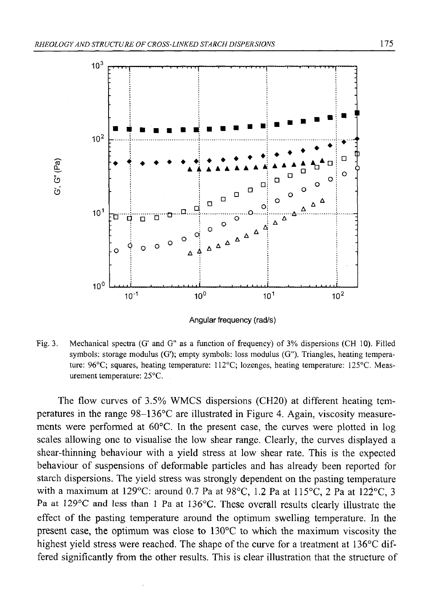

**Angular frequency (rad/s)**

Fig. 3. Mechanical spectra (G' and G" as a function of frequency) of 3% dispersions (CH 10). Filled symbols: storage modulus (G'); empty symbols: loss modulus (G"). Triangles, heating temperature: 96°C; squares, heating temperature: 112°C; lozenges, heating temperature: 125°C. Measurement temperature: 25°C.

The flow curves of 3.5% WMCS dispersions (CH20) at different heating temperatures in the range 98-136°C are illustrated in Figure 4. Again, viscosity measurements were performed at 60°C. In the present case, the curves were plotted in log scales allowing one to visualise the low shear range. Clearly, the curves displayed a shear-thinning behaviour with a yield stress at low shear rate. This is the expected behaviour of suspensions of deformable particles and has already been reported for starch dispersions. The yield stress was strongly dependent on the pasting temperature with a maximum at 129°C: around 0.7 Pa at 98°C, 1.2 Pa at 115°C, 2 Pa at 122°C, 3 Pa at 129°C and less than 1 Pa at 136°C. These overall results clearly illustrate the effect of the pasting temperature around the optimum swelling temperature. In the present case, the optimum was close to 130°C to which the maximum viscosity the highest yield stress were reached. The shape of the curve for a treatment at 136°C differed significantly from the other results. This is clear illustration that the structure of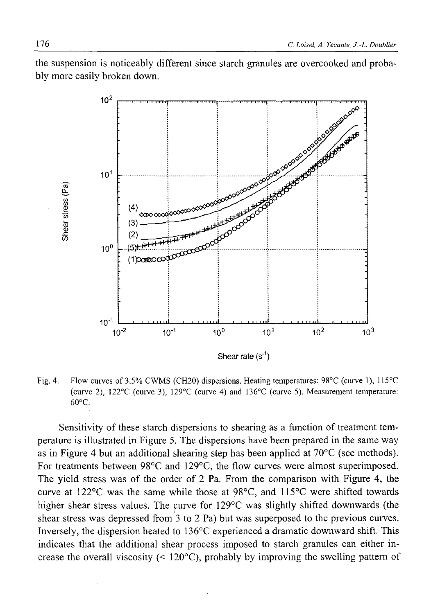the suspension is noticeably different since starch granules are overcooked and probably more easily broken down.



Fig. 4. Flow curves of 3.5% CWMS (CH20) dispersions. Heating temperatures: 98°C (curve 1), 115°C (curve 2), 122°C (curve 3), 129°C (curve 4) and 136°C (curve 5). Measurement temperature: 60°C.

Sensitivity of these starch dispersions to shearing as a function of treatment temperature is illustrated in Figure 5. The dispersions have been prepared in the same way as in Figure 4 but an additional shearing step has been applied at 70°C (see methods). For treatments between 98°C and 129°C, the flow curves were almost superimposed. The yield stress was of the order of 2 Pa. From the comparison with Figure 4, the curve at 122°C was the same while those at 98°C, and 115°C were shifted towards higher shear stress values. The curve for 129°C was slightly shifted downwards (the shear stress was depressed from 3 to 2 Pa) but was superposed to the previous curves. Inversely, the dispersion heated to 136°C experienced a dramatic downward shift. This indicates that the additional shear process imposed to starch granules can either increase the overall viscosity  $(120^{\circ}C)$ , probably by improving the swelling pattern of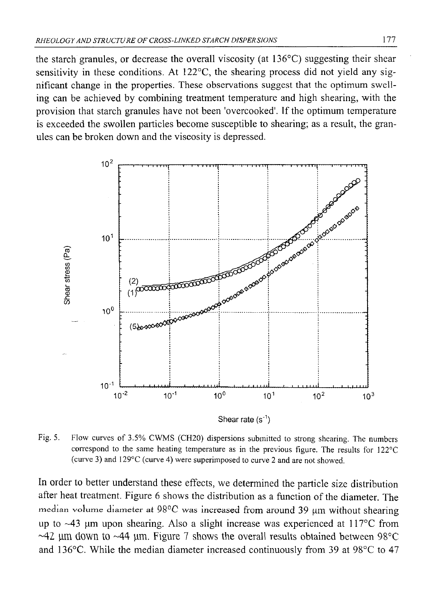the starch granules, or decrease the overall viscosity (at 136°C) suggesting their shear sensitivity in these conditions. At 122°C, the shearing process did not yield any significant change in the properties. These observations suggest that the optimum swelling can be achieved by combining treatment temperature and high shearing, with the provision that starch granules have not been 'overcooked'. If the optimum temperature is exceeded the swollen particles become susceptible to shearing; as a result, the granules can be broken down and the viscosity is depressed.



Fig. 5. Flow curves of 3.5% CWMS (CH20) dispersions submitted to strong shearing. The numbers correspond to the same heating temperature as in the previous figure. The results for 122°C (curve 3) and 129°C (curve 4) were superimposed to curve 2 and are not showed.

In order to better understand these effects, we determined the particle size distribution after heat treatment. Figure 6 shows the distribution as a function of the diameter. The median volume diameter at 98°C was increased from around 39 μm without shearing up to ~43 µm upon shearing. Also a slight increase was experienced at 117<sup>o</sup>C from **~42 jim down to ~44 tim. Figure 7** shows the overall results obtained between **98°C** and **136°C.** While the median diameter increased continuously from **39** at **98°C** to **47**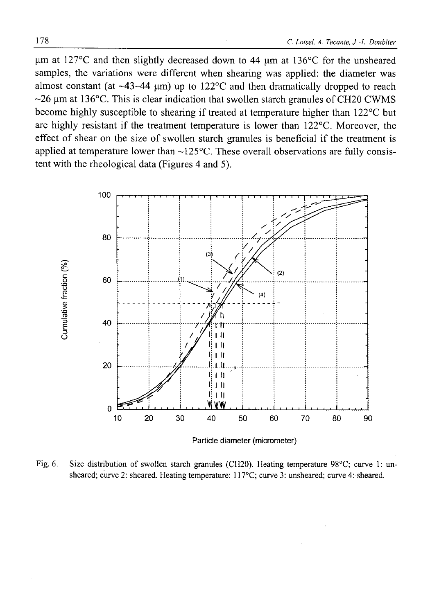$\mu$ m at 127°C and then slightly decreased down to 44  $\mu$ m at 136°C for the unsheared samples, the variations were different when shearing was applied: the diameter was almost constant (at  $\sim$ 43–44 µm) up to 122°C and then dramatically dropped to reach  $\sim$ 26 µm at 136°C. This is clear indication that swollen starch granules of CH20 CWMS become highly susceptible to shearing if treated at temperature higher than 122°C but are highly resistant if the treatment temperature is lower than 122°C. Moreover, the effect of shear on the size of swollen starch granules is beneficial if the treatment is applied at temperature lower than  $\sim$ 125 $^{\circ}$ C. These overall observations are fully consistent with the rheological data (Figures 4 and 5).



Fig. 6. Size distribution of swollen starch granules (CH20). Heating temperature 98°C; curve 1: unsheared; curve 2: sheared. Heating temperature: 117°C; curve 3: unsheared; curve 4: sheared.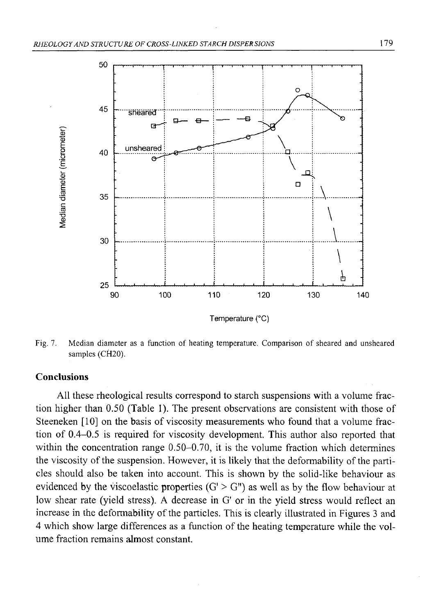

Fig. 7. Median diameter as a function of heating temperature. Comparison of sheared and unsheared samples (CH20).

#### Conclusions

All these rheological results correspond to starch suspensions with a volume fraction higher than 0.50 (Table 1). The present observations are consistent with those of Steeneken [10] on the basis of viscosity measurements who found that a volume fraction of 0.4-0.5 is required for viscosity development. This author also reported that within the concentration range 0.50–0.70, it is the volume fraction which determines the viscosity of the suspension. However, it is likely that the deformability of the particles should also be taken into account. This is shown by the solid-like behaviour as evidenced by the viscoelastic properties  $(G' > G'')$  as well as by the flow behaviour at low shear rate (yield stress). A decrease in G' or in the yield stress would reflect an increase in the deformability of the particles. This is clearly illustrated in Figures 3 and 4 which show large differences as a function of the heating temperature while the volume fraction remains almost constant.